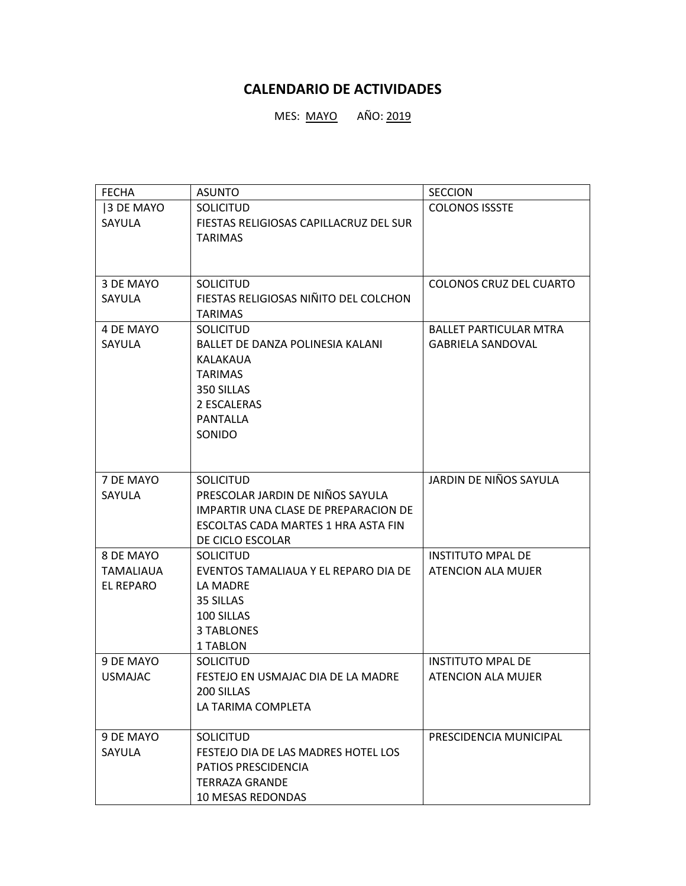## **CALENDARIO DE ACTIVIDADES**

MES: <u>MAYO</u> AÑO: 2019

| <b>FECHA</b>   | <b>ASUNTO</b>                          | <b>SECCION</b>                 |
|----------------|----------------------------------------|--------------------------------|
| 3 DE MAYO      | <b>SOLICITUD</b>                       | <b>COLONOS ISSSTE</b>          |
| SAYULA         | FIESTAS RELIGIOSAS CAPILLACRUZ DEL SUR |                                |
|                | <b>TARIMAS</b>                         |                                |
|                |                                        |                                |
|                |                                        |                                |
| 3 DE MAYO      | <b>SOLICITUD</b>                       | <b>COLONOS CRUZ DEL CUARTO</b> |
| SAYULA         | FIESTAS RELIGIOSAS NIÑITO DEL COLCHON  |                                |
|                | <b>TARIMAS</b>                         |                                |
| 4 DE MAYO      | <b>SOLICITUD</b>                       | <b>BALLET PARTICULAR MTRA</b>  |
| SAYULA         | BALLET DE DANZA POLINESIA KALANI       | <b>GABRIELA SANDOVAL</b>       |
|                | KALAKAUA                               |                                |
|                | <b>TARIMAS</b><br>350 SILLAS           |                                |
|                | 2 ESCALERAS                            |                                |
|                | <b>PANTALLA</b>                        |                                |
|                | SONIDO                                 |                                |
|                |                                        |                                |
|                |                                        |                                |
| 7 DE MAYO      | <b>SOLICITUD</b>                       | JARDIN DE NIÑOS SAYULA         |
| SAYULA         | PRESCOLAR JARDIN DE NIÑOS SAYULA       |                                |
|                | IMPARTIR UNA CLASE DE PREPARACION DE   |                                |
|                | ESCOLTAS CADA MARTES 1 HRA ASTA FIN    |                                |
|                | DE CICLO ESCOLAR                       |                                |
| 8 DE MAYO      | <b>SOLICITUD</b>                       | <b>INSTITUTO MPAL DE</b>       |
| TAMALIAUA      | EVENTOS TAMALIAUA Y EL REPARO DIA DE   | ATENCION ALA MUJER             |
| EL REPARO      | LA MADRE                               |                                |
|                | 35 SILLAS                              |                                |
|                | 100 SILLAS                             |                                |
|                | <b>3 TABLONES</b>                      |                                |
|                | 1 TABLON                               |                                |
| 9 DE MAYO      | <b>SOLICITUD</b>                       | <b>INSTITUTO MPAL DE</b>       |
| <b>USMAJAC</b> | FESTEJO EN USMAJAC DIA DE LA MADRE     | ATENCION ALA MUJER             |
|                | 200 SILLAS                             |                                |
|                | LA TARIMA COMPLETA                     |                                |
| 9 DE MAYO      | <b>SOLICITUD</b>                       | PRESCIDENCIA MUNICIPAL         |
| SAYULA         | FESTEJO DIA DE LAS MADRES HOTEL LOS    |                                |
|                | PATIOS PRESCIDENCIA                    |                                |
|                | <b>TERRAZA GRANDE</b>                  |                                |
|                | 10 MESAS REDONDAS                      |                                |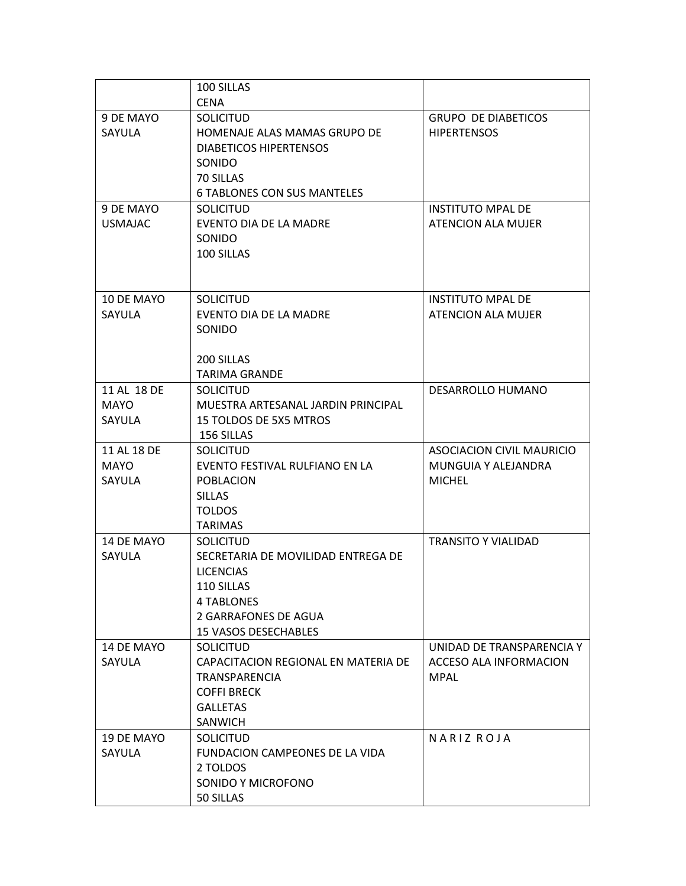|                | 100 SILLAS                                 |                            |
|----------------|--------------------------------------------|----------------------------|
|                | <b>CENA</b>                                |                            |
| 9 DE MAYO      | <b>SOLICITUD</b>                           | <b>GRUPO DE DIABETICOS</b> |
| SAYULA         | HOMENAJE ALAS MAMAS GRUPO DE               | <b>HIPERTENSOS</b>         |
|                | <b>DIABETICOS HIPERTENSOS</b>              |                            |
|                | <b>SONIDO</b>                              |                            |
|                | 70 SILLAS                                  |                            |
|                | <b>6 TABLONES CON SUS MANTELES</b>         |                            |
| 9 DE MAYO      | <b>SOLICITUD</b>                           | <b>INSTITUTO MPAL DE</b>   |
| <b>USMAJAC</b> | EVENTO DIA DE LA MADRE                     | ATENCION ALA MUJER         |
|                | SONIDO                                     |                            |
|                | 100 SILLAS                                 |                            |
|                |                                            |                            |
|                |                                            |                            |
|                |                                            |                            |
| 10 DE MAYO     | <b>SOLICITUD</b>                           | <b>INSTITUTO MPAL DE</b>   |
| SAYULA         | EVENTO DIA DE LA MADRE                     | <b>ATENCION ALA MUJER</b>  |
|                | SONIDO                                     |                            |
|                |                                            |                            |
|                | 200 SILLAS                                 |                            |
|                | <b>TARIMA GRANDE</b>                       |                            |
| 11 AL 18 DE    | <b>SOLICITUD</b>                           | DESARROLLO HUMANO          |
| <b>MAYO</b>    | MUESTRA ARTESANAL JARDIN PRINCIPAL         |                            |
| SAYULA         | 15 TOLDOS DE 5X5 MTROS                     |                            |
|                | 156 SILLAS                                 |                            |
| 11 AL 18 DE    | <b>SOLICITUD</b>                           | ASOCIACION CIVIL MAURICIO  |
| <b>MAYO</b>    | EVENTO FESTIVAL RULFIANO EN LA             | MUNGUIA Y ALEJANDRA        |
| SAYULA         | <b>POBLACION</b>                           | <b>MICHEL</b>              |
|                | <b>SILLAS</b>                              |                            |
|                | <b>TOLDOS</b>                              |                            |
|                | <b>TARIMAS</b>                             |                            |
| 14 DE MAYO     | <b>SOLICITUD</b>                           | <b>TRANSITO Y VIALIDAD</b> |
| SAYULA         | SECRETARIA DE MOVILIDAD ENTREGA DE         |                            |
|                | <b>LICENCIAS</b>                           |                            |
|                |                                            |                            |
|                | 110 SILLAS                                 |                            |
|                | 4 TABLONES                                 |                            |
|                | 2 GARRAFONES DE AGUA                       |                            |
|                | <b>15 VASOS DESECHABLES</b>                |                            |
| 14 DE MAYO     | <b>SOLICITUD</b>                           | UNIDAD DE TRANSPARENCIA Y  |
| SAYULA         | CAPACITACION REGIONAL EN MATERIA DE        | ACCESO ALA INFORMACION     |
|                | TRANSPARENCIA                              | <b>MPAL</b>                |
|                | <b>COFFI BRECK</b>                         |                            |
|                | <b>GALLETAS</b>                            |                            |
|                | SANWICH                                    |                            |
| 19 DE MAYO     | <b>SOLICITUD</b>                           | NARIZ ROJA                 |
| SAYULA         |                                            |                            |
|                | FUNDACION CAMPEONES DE LA VIDA<br>2 TOLDOS |                            |
|                |                                            |                            |
|                | SONIDO Y MICROFONO                         |                            |